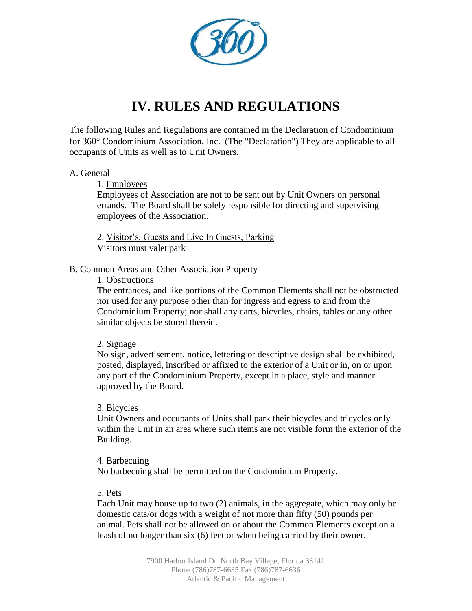

# **IV. RULES AND REGULATIONS**

The following Rules and Regulations are contained in the Declaration of Condominium for 360° Condominium Association, Inc. (The "Declaration") They are applicable to all occupants of Units as well as to Unit Owners.

# A. General

# 1. Employees

Employees of Association are not to be sent out by Unit Owners on personal errands. The Board shall be solely responsible for directing and supervising employees of the Association.

2. Visitor's, Guests and Live In Guests, Parking Visitors must valet park

# B. Common Areas and Other Association Property

# 1. Obstructions

The entrances, and like portions of the Common Elements shall not be obstructed nor used for any purpose other than for ingress and egress to and from the Condominium Property; nor shall any carts, bicycles, chairs, tables or any other similar objects be stored therein.

# 2. Signage

No sign, advertisement, notice, lettering or descriptive design shall be exhibited, posted, displayed, inscribed or affixed to the exterior of a Unit or in, on or upon any part of the Condominium Property, except in a place, style and manner approved by the Board.

#### 3. Bicycles

Unit Owners and occupants of Units shall park their bicycles and tricycles only within the Unit in an area where such items are not visible form the exterior of the Building.

#### 4. Barbecuing

No barbecuing shall be permitted on the Condominium Property.

# 5. Pets

Each Unit may house up to two (2) animals, in the aggregate, which may only be domestic cats/or dogs with a weight of not more than fifty (50) pounds per animal. Pets shall not be allowed on or about the Common Elements except on a leash of no longer than six (6) feet or when being carried by their owner.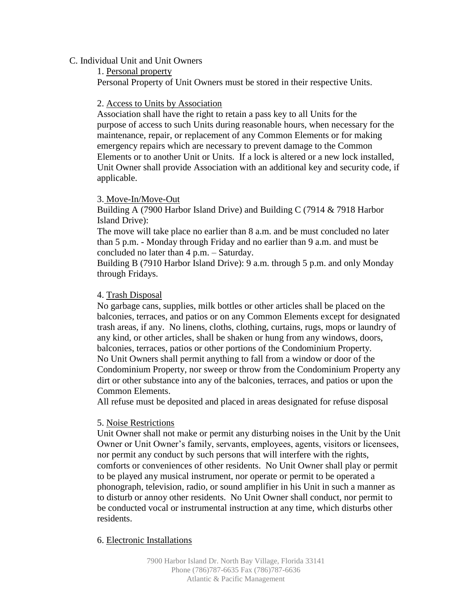#### C. Individual Unit and Unit Owners

1. Personal property

Personal Property of Unit Owners must be stored in their respective Units.

#### 2. Access to Units by Association

Association shall have the right to retain a pass key to all Units for the purpose of access to such Units during reasonable hours, when necessary for the maintenance, repair, or replacement of any Common Elements or for making emergency repairs which are necessary to prevent damage to the Common Elements or to another Unit or Units. If a lock is altered or a new lock installed, Unit Owner shall provide Association with an additional key and security code, if applicable.

# 3. Move-In/Move-Out

Building A (7900 Harbor Island Drive) and Building C (7914 & 7918 Harbor Island Drive):

The move will take place no earlier than 8 a.m. and be must concluded no later than 5 p.m. - Monday through Friday and no earlier than 9 a.m. and must be concluded no later than 4 p.m. – Saturday.

Building B (7910 Harbor Island Drive): 9 a.m. through 5 p.m. and only Monday through Fridays.

# 4. Trash Disposal

No garbage cans, supplies, milk bottles or other articles shall be placed on the balconies, terraces, and patios or on any Common Elements except for designated trash areas, if any. No linens, cloths, clothing, curtains, rugs, mops or laundry of any kind, or other articles, shall be shaken or hung from any windows, doors, balconies, terraces, patios or other portions of the Condominium Property. No Unit Owners shall permit anything to fall from a window or door of the Condominium Property, nor sweep or throw from the Condominium Property any dirt or other substance into any of the balconies, terraces, and patios or upon the Common Elements.

All refuse must be deposited and placed in areas designated for refuse disposal

#### 5. Noise Restrictions

Unit Owner shall not make or permit any disturbing noises in the Unit by the Unit Owner or Unit Owner's family, servants, employees, agents, visitors or licensees, nor permit any conduct by such persons that will interfere with the rights, comforts or conveniences of other residents. No Unit Owner shall play or permit to be played any musical instrument, nor operate or permit to be operated a phonograph, television, radio, or sound amplifier in his Unit in such a manner as to disturb or annoy other residents. No Unit Owner shall conduct, nor permit to be conducted vocal or instrumental instruction at any time, which disturbs other residents.

#### 6. Electronic Installations